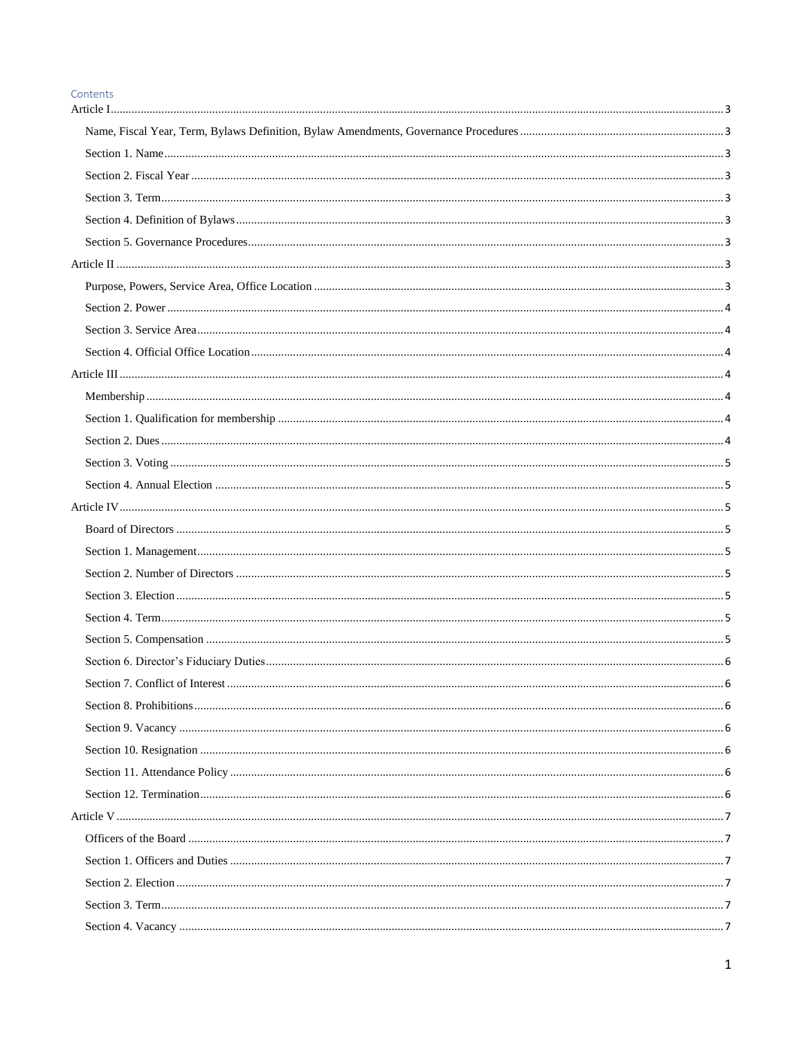#### Contents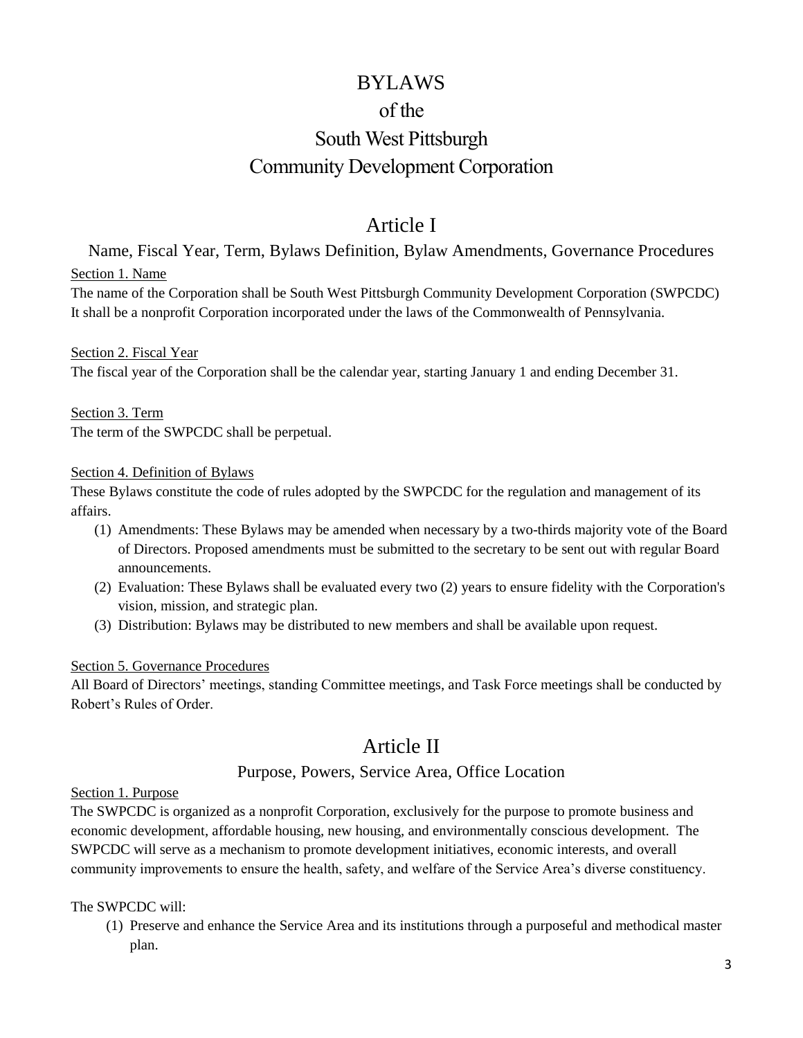# BYLAWS of the South West Pittsburgh Community Development Corporation

# Article I

<span id="page-2-2"></span><span id="page-2-1"></span><span id="page-2-0"></span>Name, Fiscal Year, Term, Bylaws Definition, Bylaw Amendments, Governance Procedures Section 1. Name

The name of the Corporation shall be South West Pittsburgh Community Development Corporation (SWPCDC) It shall be a nonprofit Corporation incorporated under the laws of the Commonwealth of Pennsylvania.

<span id="page-2-3"></span>Section 2. Fiscal Year The fiscal year of the Corporation shall be the calendar year, starting January 1 and ending December 31.

<span id="page-2-4"></span>Section 3. Term The term of the SWPCDC shall be perpetual.

#### <span id="page-2-5"></span>Section 4. Definition of Bylaws

These Bylaws constitute the code of rules adopted by the SWPCDC for the regulation and management of its affairs.

- (1) Amendments: These Bylaws may be amended when necessary by a two-thirds majority vote of the Board of Directors. Proposed amendments must be submitted to the secretary to be sent out with regular Board announcements.
- (2) Evaluation: These Bylaws shall be evaluated every two (2) years to ensure fidelity with the Corporation's vision, mission, and strategic plan.
- (3) Distribution: Bylaws may be distributed to new members and shall be available upon request.

#### <span id="page-2-6"></span>Section 5. Governance Procedures

All Board of Directors' meetings, standing Committee meetings, and Task Force meetings shall be conducted by Robert's Rules of Order.

# Article II

# Purpose, Powers, Service Area, Office Location

#### <span id="page-2-8"></span><span id="page-2-7"></span>Section 1. Purpose

The SWPCDC is organized as a nonprofit Corporation, exclusively for the purpose to promote business and economic development, affordable housing, new housing, and environmentally conscious development. The SWPCDC will serve as a mechanism to promote development initiatives, economic interests, and overall community improvements to ensure the health, safety, and welfare of the Service Area's diverse constituency.

# The SWPCDC will:

(1) Preserve and enhance the Service Area and its institutions through a purposeful and methodical master plan.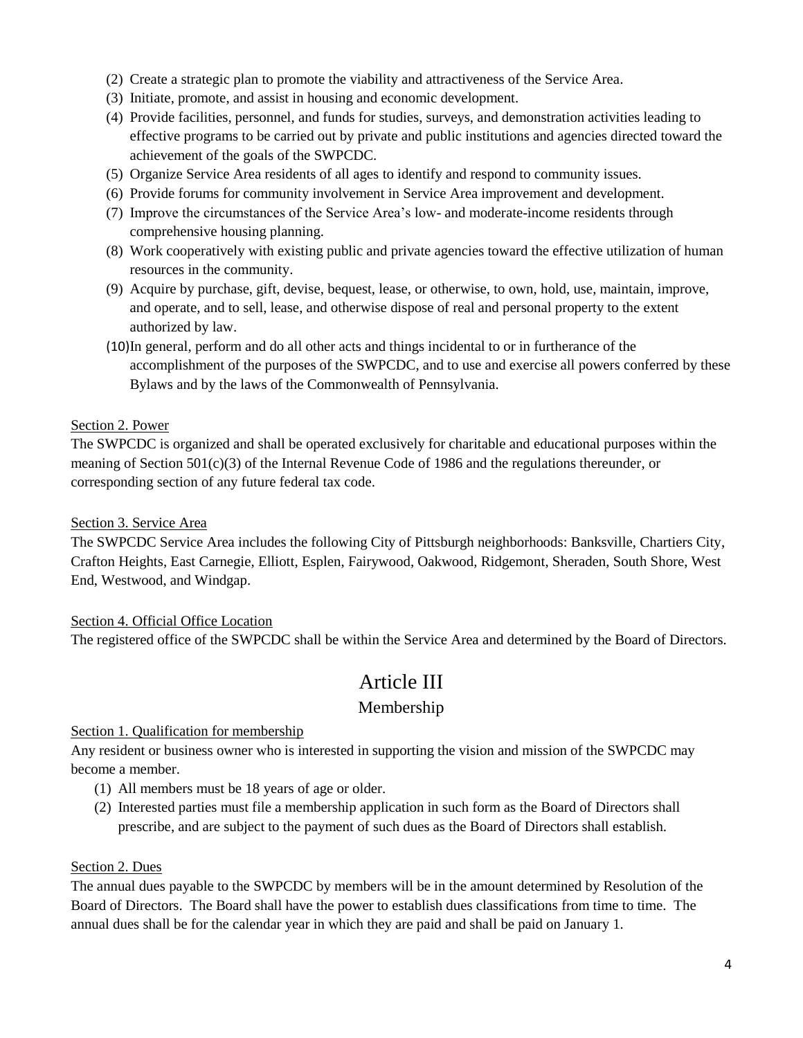- (2) Create a strategic plan to promote the viability and attractiveness of the Service Area.
- (3) Initiate, promote, and assist in housing and economic development.
- (4) Provide facilities, personnel, and funds for studies, surveys, and demonstration activities leading to effective programs to be carried out by private and public institutions and agencies directed toward the achievement of the goals of the SWPCDC.
- (5) Organize Service Area residents of all ages to identify and respond to community issues.
- (6) Provide forums for community involvement in Service Area improvement and development.
- (7) Improve the circumstances of the Service Area's low- and moderate-income residents through comprehensive housing planning.
- (8) Work cooperatively with existing public and private agencies toward the effective utilization of human resources in the community.
- (9) Acquire by purchase, gift, devise, bequest, lease, or otherwise, to own, hold, use, maintain, improve, and operate, and to sell, lease, and otherwise dispose of real and personal property to the extent authorized by law.
- (10)In general, perform and do all other acts and things incidental to or in furtherance of the accomplishment of the purposes of the SWPCDC, and to use and exercise all powers conferred by these Bylaws and by the laws of the Commonwealth of Pennsylvania.

#### <span id="page-3-0"></span>Section 2. Power

The SWPCDC is organized and shall be operated exclusively for charitable and educational purposes within the meaning of Section 501(c)(3) of the Internal Revenue Code of 1986 and the regulations thereunder, or corresponding section of any future federal tax code.

#### <span id="page-3-1"></span>Section 3. Service Area

The SWPCDC Service Area includes the following City of Pittsburgh neighborhoods: Banksville, Chartiers City, Crafton Heights, East Carnegie, Elliott, Esplen, Fairywood, Oakwood, Ridgemont, Sheraden, South Shore, West End, Westwood, and Windgap.

# <span id="page-3-2"></span>Section 4. Official Office Location

<span id="page-3-3"></span>The registered office of the SWPCDC shall be within the Service Area and determined by the Board of Directors.

# Article III

# Membership

#### <span id="page-3-5"></span><span id="page-3-4"></span>Section 1. Qualification for membership

Any resident or business owner who is interested in supporting the vision and mission of the SWPCDC may become a member.

- (1) All members must be 18 years of age or older.
- (2) Interested parties must file a membership application in such form as the Board of Directors shall prescribe, and are subject to the payment of such dues as the Board of Directors shall establish.

# <span id="page-3-6"></span>Section 2. Dues

The annual dues payable to the SWPCDC by members will be in the amount determined by Resolution of the Board of Directors. The Board shall have the power to establish dues classifications from time to time. The annual dues shall be for the calendar year in which they are paid and shall be paid on January 1.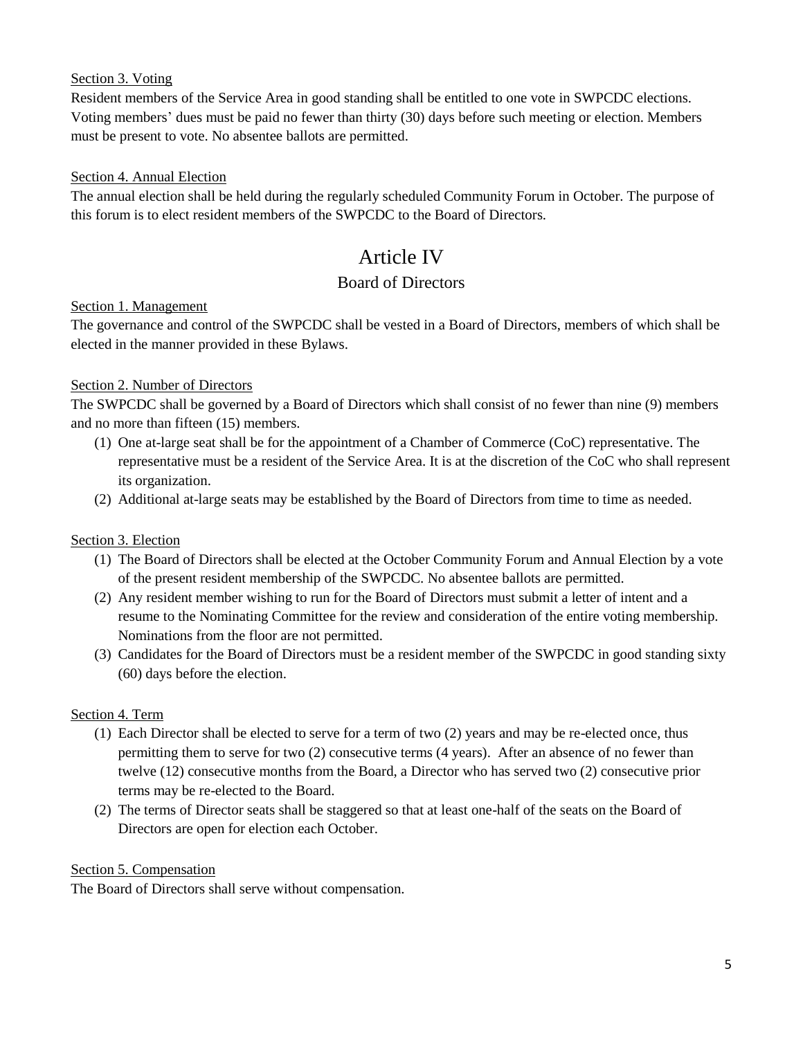# <span id="page-4-0"></span>Section 3. Voting

Resident members of the Service Area in good standing shall be entitled to one vote in SWPCDC elections. Voting members' dues must be paid no fewer than thirty (30) days before such meeting or election. Members must be present to vote. No absentee ballots are permitted.

# <span id="page-4-1"></span>Section 4. Annual Election

The annual election shall be held during the regularly scheduled Community Forum in October. The purpose of this forum is to elect resident members of the SWPCDC to the Board of Directors.

# Article IV

# Board of Directors

# <span id="page-4-4"></span><span id="page-4-3"></span><span id="page-4-2"></span>Section 1. Management

The governance and control of the SWPCDC shall be vested in a Board of Directors, members of which shall be elected in the manner provided in these Bylaws.

# <span id="page-4-5"></span>Section 2. Number of Directors

The SWPCDC shall be governed by a Board of Directors which shall consist of no fewer than nine (9) members and no more than fifteen (15) members.

- (1) One at-large seat shall be for the appointment of a Chamber of Commerce (CoC) representative. The representative must be a resident of the Service Area. It is at the discretion of the CoC who shall represent its organization.
- (2) Additional at-large seats may be established by the Board of Directors from time to time as needed.

# <span id="page-4-6"></span>Section 3. Election

- (1) The Board of Directors shall be elected at the October Community Forum and Annual Election by a vote of the present resident membership of the SWPCDC. No absentee ballots are permitted.
- (2) Any resident member wishing to run for the Board of Directors must submit a letter of intent and a resume to the Nominating Committee for the review and consideration of the entire voting membership. Nominations from the floor are not permitted.
- (3) Candidates for the Board of Directors must be a resident member of the SWPCDC in good standing sixty (60) days before the election.

# <span id="page-4-7"></span>Section 4. Term

- (1) Each Director shall be elected to serve for a term of two (2) years and may be re-elected once, thus permitting them to serve for two (2) consecutive terms (4 years). After an absence of no fewer than twelve (12) consecutive months from the Board, a Director who has served two (2) consecutive prior terms may be re-elected to the Board.
- (2) The terms of Director seats shall be staggered so that at least one-half of the seats on the Board of Directors are open for election each October.

# <span id="page-4-8"></span>Section 5. Compensation

The Board of Directors shall serve without compensation.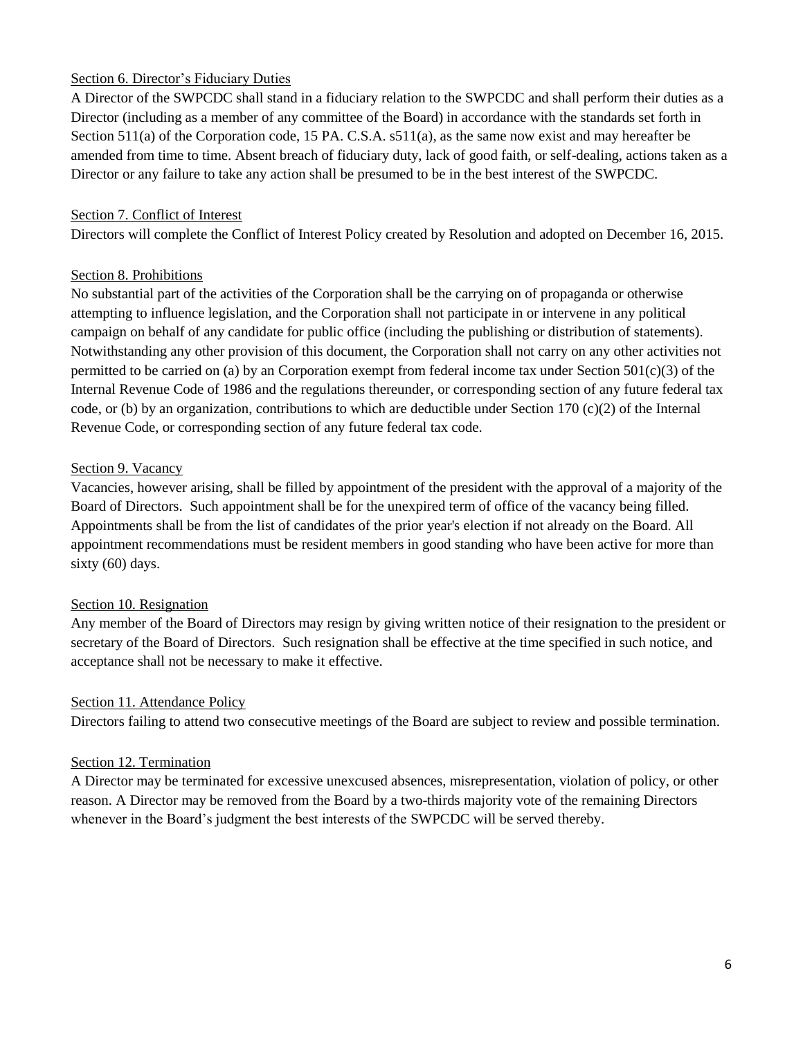# <span id="page-5-0"></span>Section 6. Director's Fiduciary Duties

A Director of the SWPCDC shall stand in a fiduciary relation to the SWPCDC and shall perform their duties as a Director (including as a member of any committee of the Board) in accordance with the standards set forth in Section 511(a) of the Corporation code, 15 PA. C.S.A. s511(a), as the same now exist and may hereafter be amended from time to time. Absent breach of fiduciary duty, lack of good faith, or self-dealing, actions taken as a Director or any failure to take any action shall be presumed to be in the best interest of the SWPCDC.

#### <span id="page-5-1"></span>Section 7. Conflict of Interest

Directors will complete the Conflict of Interest Policy created by Resolution and adopted on December 16, 2015.

#### <span id="page-5-2"></span>Section 8. Prohibitions

No substantial part of the activities of the Corporation shall be the carrying on of propaganda or otherwise attempting to influence legislation, and the Corporation shall not participate in or intervene in any political campaign on behalf of any candidate for public office (including the publishing or distribution of statements). Notwithstanding any other provision of this document, the Corporation shall not carry on any other activities not permitted to be carried on (a) by an Corporation exempt from federal income tax under Section 501(c)(3) of the Internal Revenue Code of 1986 and the regulations thereunder, or corresponding section of any future federal tax code, or (b) by an organization, contributions to which are deductible under Section 170 (c)(2) of the Internal Revenue Code, or corresponding section of any future federal tax code.

#### <span id="page-5-3"></span>Section 9. Vacancy

Vacancies, however arising, shall be filled by appointment of the president with the approval of a majority of the Board of Directors. Such appointment shall be for the unexpired term of office of the vacancy being filled. Appointments shall be from the list of candidates of the prior year's election if not already on the Board. All appointment recommendations must be resident members in good standing who have been active for more than sixty (60) days.

#### <span id="page-5-4"></span>Section 10. Resignation

Any member of the Board of Directors may resign by giving written notice of their resignation to the president or secretary of the Board of Directors. Such resignation shall be effective at the time specified in such notice, and acceptance shall not be necessary to make it effective.

#### <span id="page-5-5"></span>Section 11. Attendance Policy

Directors failing to attend two consecutive meetings of the Board are subject to review and possible termination.

#### <span id="page-5-6"></span>Section 12. Termination

A Director may be terminated for excessive unexcused absences, misrepresentation, violation of policy, or other reason. A Director may be removed from the Board by a two-thirds majority vote of the remaining Directors whenever in the Board's judgment the best interests of the SWPCDC will be served thereby.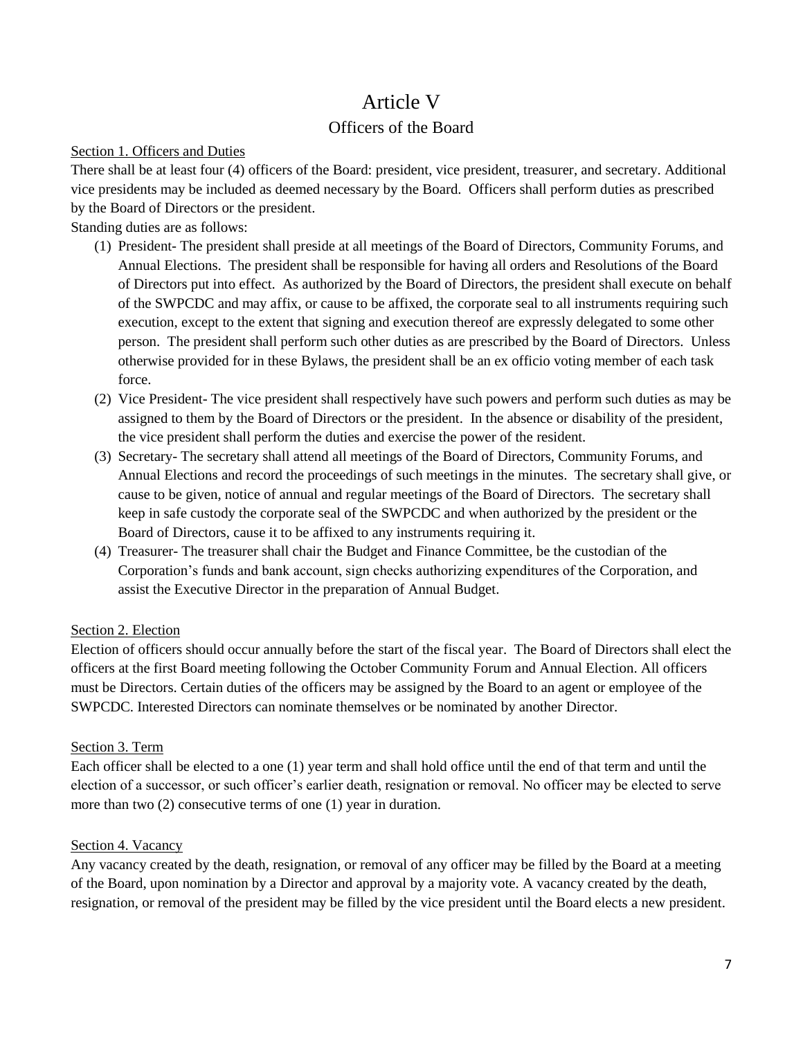# Article V

# Officers of the Board

### <span id="page-6-2"></span><span id="page-6-1"></span><span id="page-6-0"></span>Section 1. Officers and Duties

There shall be at least four (4) officers of the Board: president, vice president, treasurer, and secretary. Additional vice presidents may be included as deemed necessary by the Board. Officers shall perform duties as prescribed by the Board of Directors or the president.

Standing duties are as follows:

- (1) President- The president shall preside at all meetings of the Board of Directors, Community Forums, and Annual Elections. The president shall be responsible for having all orders and Resolutions of the Board of Directors put into effect. As authorized by the Board of Directors, the president shall execute on behalf of the SWPCDC and may affix, or cause to be affixed, the corporate seal to all instruments requiring such execution, except to the extent that signing and execution thereof are expressly delegated to some other person. The president shall perform such other duties as are prescribed by the Board of Directors. Unless otherwise provided for in these Bylaws, the president shall be an ex officio voting member of each task force.
- (2) Vice President- The vice president shall respectively have such powers and perform such duties as may be assigned to them by the Board of Directors or the president. In the absence or disability of the president, the vice president shall perform the duties and exercise the power of the resident.
- (3) Secretary- The secretary shall attend all meetings of the Board of Directors, Community Forums, and Annual Elections and record the proceedings of such meetings in the minutes. The secretary shall give, or cause to be given, notice of annual and regular meetings of the Board of Directors. The secretary shall keep in safe custody the corporate seal of the SWPCDC and when authorized by the president or the Board of Directors, cause it to be affixed to any instruments requiring it.
- (4) Treasurer- The treasurer shall chair the Budget and Finance Committee, be the custodian of the Corporation's funds and bank account, sign checks authorizing expenditures of the Corporation, and assist the Executive Director in the preparation of Annual Budget.

# <span id="page-6-3"></span>Section 2. Election

Election of officers should occur annually before the start of the fiscal year. The Board of Directors shall elect the officers at the first Board meeting following the October Community Forum and Annual Election. All officers must be Directors. Certain duties of the officers may be assigned by the Board to an agent or employee of the SWPCDC. Interested Directors can nominate themselves or be nominated by another Director.

# <span id="page-6-4"></span>Section 3. Term

Each officer shall be elected to a one (1) year term and shall hold office until the end of that term and until the election of a successor, or such officer's earlier death, resignation or removal. No officer may be elected to serve more than two (2) consecutive terms of one (1) year in duration.

# <span id="page-6-5"></span>Section 4. Vacancy

Any vacancy created by the death, resignation, or removal of any officer may be filled by the Board at a meeting of the Board, upon nomination by a Director and approval by a majority vote. A vacancy created by the death, resignation, or removal of the president may be filled by the vice president until the Board elects a new president.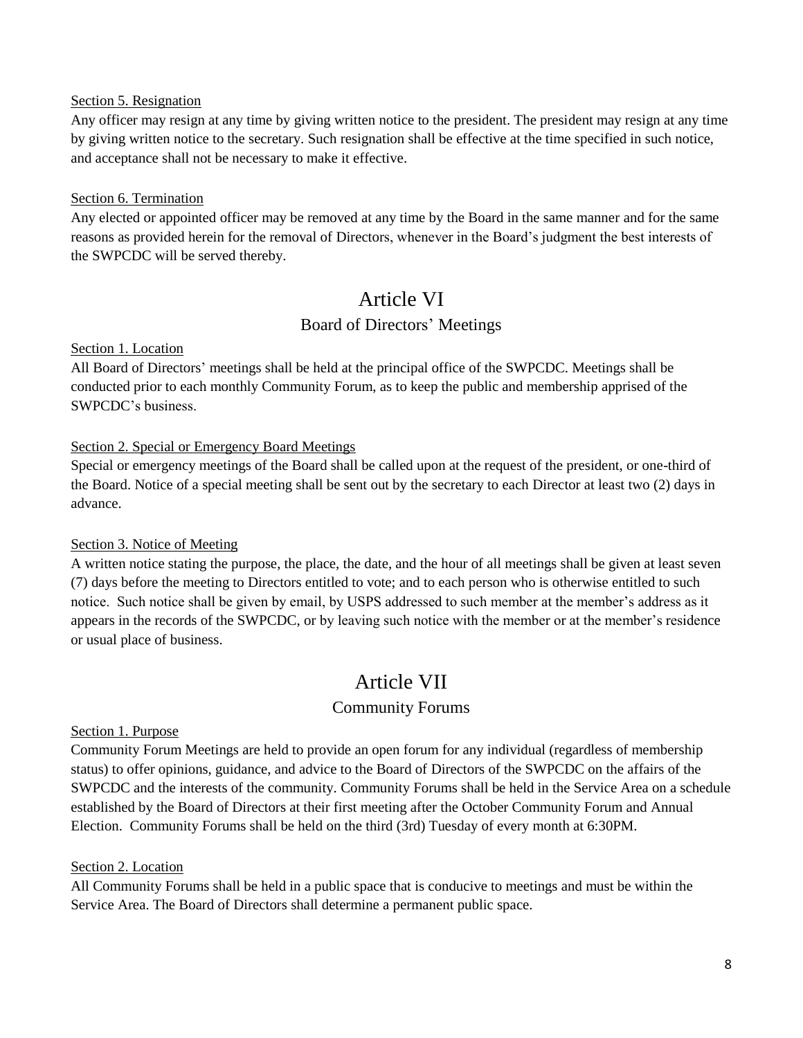#### <span id="page-7-0"></span>Section 5. Resignation

Any officer may resign at any time by giving written notice to the president. The president may resign at any time by giving written notice to the secretary. Such resignation shall be effective at the time specified in such notice, and acceptance shall not be necessary to make it effective.

#### <span id="page-7-1"></span>Section 6. Termination

Any elected or appointed officer may be removed at any time by the Board in the same manner and for the same reasons as provided herein for the removal of Directors, whenever in the Board's judgment the best interests of the SWPCDC will be served thereby.

# Article VI

# Board of Directors' Meetings

#### <span id="page-7-4"></span><span id="page-7-3"></span><span id="page-7-2"></span>Section 1. Location

All Board of Directors' meetings shall be held at the principal office of the SWPCDC. Meetings shall be conducted prior to each monthly Community Forum, as to keep the public and membership apprised of the SWPCDC's business.

#### <span id="page-7-5"></span>Section 2. Special or Emergency Board Meetings

Special or emergency meetings of the Board shall be called upon at the request of the president, or one-third of the Board. Notice of a special meeting shall be sent out by the secretary to each Director at least two (2) days in advance.

# <span id="page-7-6"></span>Section 3. Notice of Meeting

A written notice stating the purpose, the place, the date, and the hour of all meetings shall be given at least seven (7) days before the meeting to Directors entitled to vote; and to each person who is otherwise entitled to such notice. Such notice shall be given by email, by USPS addressed to such member at the member's address as it appears in the records of the SWPCDC, or by leaving such notice with the member or at the member's residence or usual place of business.

# Article VII

# Community Forums

#### <span id="page-7-9"></span><span id="page-7-8"></span><span id="page-7-7"></span>Section 1. Purpose

Community Forum Meetings are held to provide an open forum for any individual (regardless of membership status) to offer opinions, guidance, and advice to the Board of Directors of the SWPCDC on the affairs of the SWPCDC and the interests of the community. Community Forums shall be held in the Service Area on a schedule established by the Board of Directors at their first meeting after the October Community Forum and Annual Election. Community Forums shall be held on the third (3rd) Tuesday of every month at 6:30PM.

#### <span id="page-7-10"></span>Section 2. Location

All Community Forums shall be held in a public space that is conducive to meetings and must be within the Service Area. The Board of Directors shall determine a permanent public space.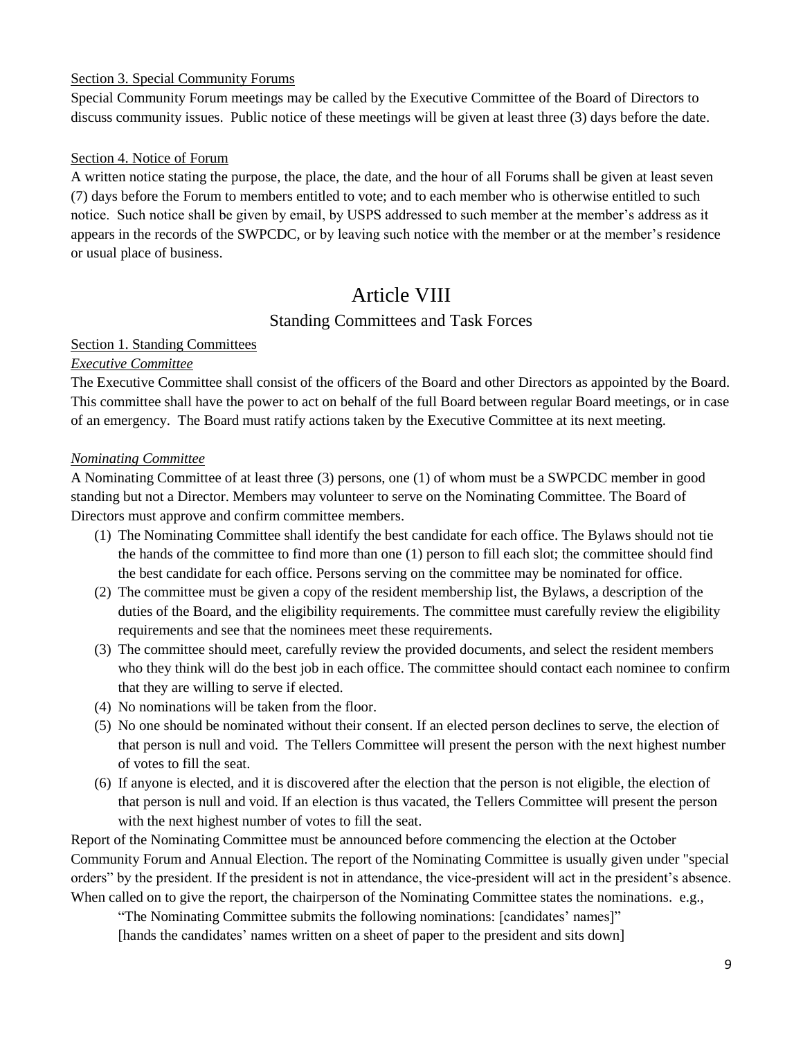#### <span id="page-8-0"></span>Section 3. Special Community Forums

Special Community Forum meetings may be called by the Executive Committee of the Board of Directors to discuss community issues. Public notice of these meetings will be given at least three (3) days before the date.

#### <span id="page-8-1"></span>Section 4. Notice of Forum

A written notice stating the purpose, the place, the date, and the hour of all Forums shall be given at least seven (7) days before the Forum to members entitled to vote; and to each member who is otherwise entitled to such notice. Such notice shall be given by email, by USPS addressed to such member at the member's address as it appears in the records of the SWPCDC, or by leaving such notice with the member or at the member's residence or usual place of business.

# Article VIII

# Standing Committees and Task Forces

#### <span id="page-8-4"></span><span id="page-8-3"></span><span id="page-8-2"></span>Section 1. Standing Committees

#### *Executive Committee*

The Executive Committee shall consist of the officers of the Board and other Directors as appointed by the Board. This committee shall have the power to act on behalf of the full Board between regular Board meetings, or in case of an emergency. The Board must ratify actions taken by the Executive Committee at its next meeting.

#### *Nominating Committee*

A Nominating Committee of at least three (3) persons, one (1) of whom must be a SWPCDC member in good standing but not a Director. Members may volunteer to serve on the Nominating Committee. The Board of Directors must approve and confirm committee members.

- (1) The Nominating Committee shall identify the best candidate for each office. The Bylaws should not tie the hands of the committee to find more than one (1) person to fill each slot; the committee should find the best candidate for each office. Persons serving on the committee may be nominated for office.
- (2) The committee must be given a copy of the resident membership list, the Bylaws, a description of the duties of the Board, and the eligibility requirements. The committee must carefully review the eligibility requirements and see that the nominees meet these requirements.
- (3) The committee should meet, carefully review the provided documents, and select the resident members who they think will do the best job in each office. The committee should contact each nominee to confirm that they are willing to serve if elected.
- (4) No nominations will be taken from the floor.
- (5) No one should be nominated without their consent. If an elected person declines to serve, the election of that person is null and void. The Tellers Committee will present the person with the next highest number of votes to fill the seat.
- (6) If anyone is elected, and it is discovered after the election that the person is not eligible, the election of that person is null and void. If an election is thus vacated, the Tellers Committee will present the person with the next highest number of votes to fill the seat.

Report of the Nominating Committee must be announced before commencing the election at the October Community Forum and Annual Election. The report of the Nominating Committee is usually given under "special orders" by the president. If the president is not in attendance, the vice-president will act in the president's absence. When called on to give the report, the chairperson of the Nominating Committee states the nominations. e.g.,

"The Nominating Committee submits the following nominations: [candidates' names]" [hands the candidates' names written on a sheet of paper to the president and sits down]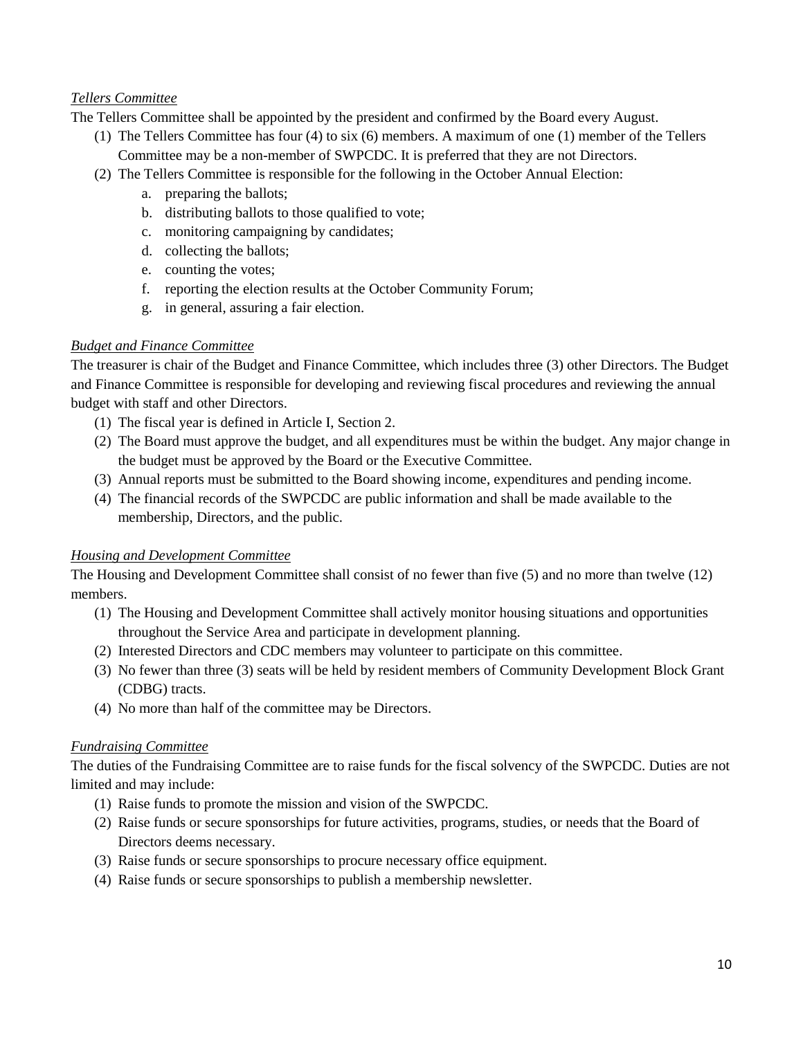# *Tellers Committee*

The Tellers Committee shall be appointed by the president and confirmed by the Board every August.

- (1) The Tellers Committee has four (4) to six (6) members. A maximum of one (1) member of the Tellers Committee may be a non-member of SWPCDC. It is preferred that they are not Directors.
- (2) The Tellers Committee is responsible for the following in the October Annual Election:
	- a. preparing the ballots;
	- b. distributing ballots to those qualified to vote;
	- c. monitoring campaigning by candidates;
	- d. collecting the ballots;
	- e. counting the votes;
	- f. reporting the election results at the October Community Forum;
	- g. in general, assuring a fair election.

#### *Budget and Finance Committee*

The treasurer is chair of the Budget and Finance Committee, which includes three (3) other Directors. The Budget and Finance Committee is responsible for developing and reviewing fiscal procedures and reviewing the annual budget with staff and other Directors.

- (1) The fiscal year is defined in Article I, Section 2.
- (2) The Board must approve the budget, and all expenditures must be within the budget. Any major change in the budget must be approved by the Board or the Executive Committee.
- (3) Annual reports must be submitted to the Board showing income, expenditures and pending income.
- (4) The financial records of the SWPCDC are public information and shall be made available to the membership, Directors, and the public.

#### *Housing and Development Committee*

The Housing and Development Committee shall consist of no fewer than five (5) and no more than twelve (12) members.

- (1) The Housing and Development Committee shall actively monitor housing situations and opportunities throughout the Service Area and participate in development planning.
- (2) Interested Directors and CDC members may volunteer to participate on this committee.
- (3) No fewer than three (3) seats will be held by resident members of Community Development Block Grant (CDBG) tracts.
- (4) No more than half of the committee may be Directors.

#### *Fundraising Committee*

The duties of the Fundraising Committee are to raise funds for the fiscal solvency of the SWPCDC. Duties are not limited and may include:

- (1) Raise funds to promote the mission and vision of the SWPCDC.
- (2) Raise funds or secure sponsorships for future activities, programs, studies, or needs that the Board of Directors deems necessary.
- (3) Raise funds or secure sponsorships to procure necessary office equipment.
- (4) Raise funds or secure sponsorships to publish a membership newsletter.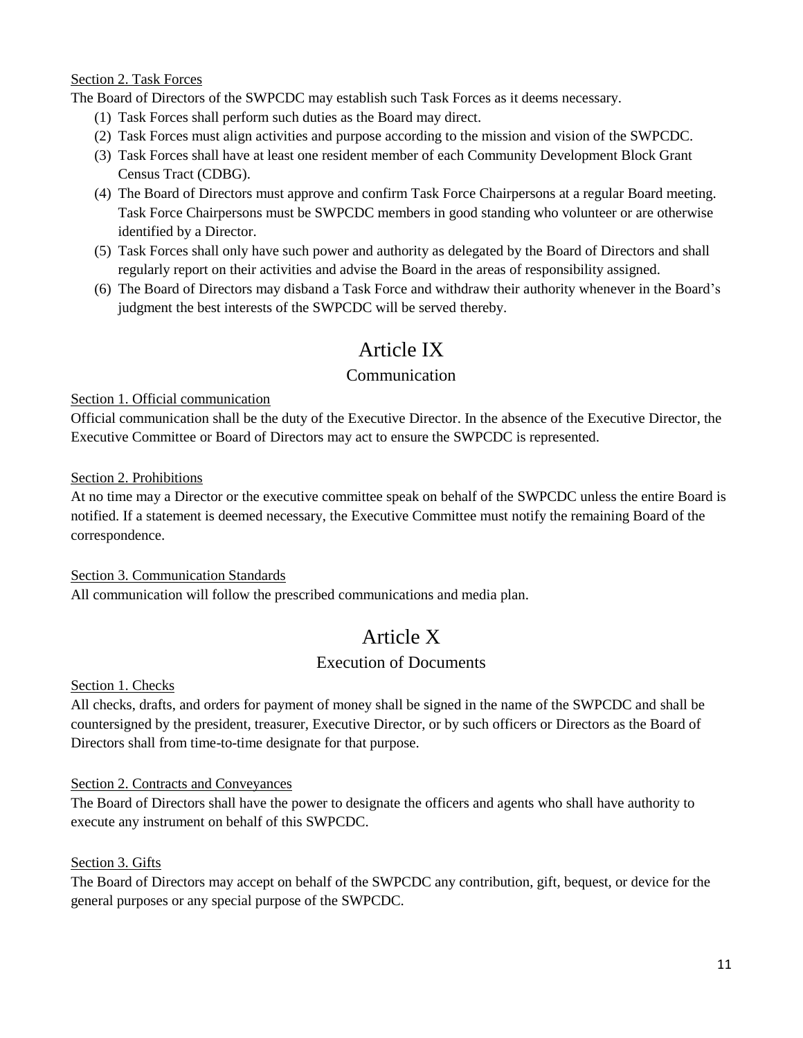### <span id="page-10-0"></span>Section 2. Task Forces

The Board of Directors of the SWPCDC may establish such Task Forces as it deems necessary.

- (1) Task Forces shall perform such duties as the Board may direct.
- (2) Task Forces must align activities and purpose according to the mission and vision of the SWPCDC.
- (3) Task Forces shall have at least one resident member of each Community Development Block Grant Census Tract (CDBG).
- (4) The Board of Directors must approve and confirm Task Force Chairpersons at a regular Board meeting. Task Force Chairpersons must be SWPCDC members in good standing who volunteer or are otherwise identified by a Director.
- (5) Task Forces shall only have such power and authority as delegated by the Board of Directors and shall regularly report on their activities and advise the Board in the areas of responsibility assigned.
- (6) The Board of Directors may disband a Task Force and withdraw their authority whenever in the Board's judgment the best interests of the SWPCDC will be served thereby.

# Article IX

# Communication

#### <span id="page-10-3"></span><span id="page-10-2"></span><span id="page-10-1"></span>Section 1. Official communication

Official communication shall be the duty of the Executive Director. In the absence of the Executive Director, the Executive Committee or Board of Directors may act to ensure the SWPCDC is represented.

#### <span id="page-10-4"></span>Section 2. Prohibitions

At no time may a Director or the executive committee speak on behalf of the SWPCDC unless the entire Board is notified. If a statement is deemed necessary, the Executive Committee must notify the remaining Board of the correspondence.

# <span id="page-10-5"></span>Section 3. Communication Standards

<span id="page-10-6"></span>All communication will follow the prescribed communications and media plan.

# Article X

# Execution of Documents

<span id="page-10-8"></span><span id="page-10-7"></span>Section 1. Checks

All checks, drafts, and orders for payment of money shall be signed in the name of the SWPCDC and shall be countersigned by the president, treasurer, Executive Director, or by such officers or Directors as the Board of Directors shall from time-to-time designate for that purpose.

# <span id="page-10-9"></span>Section 2. Contracts and Conveyances

The Board of Directors shall have the power to designate the officers and agents who shall have authority to execute any instrument on behalf of this SWPCDC.

# <span id="page-10-10"></span>Section 3. Gifts

The Board of Directors may accept on behalf of the SWPCDC any contribution, gift, bequest, or device for the general purposes or any special purpose of the SWPCDC.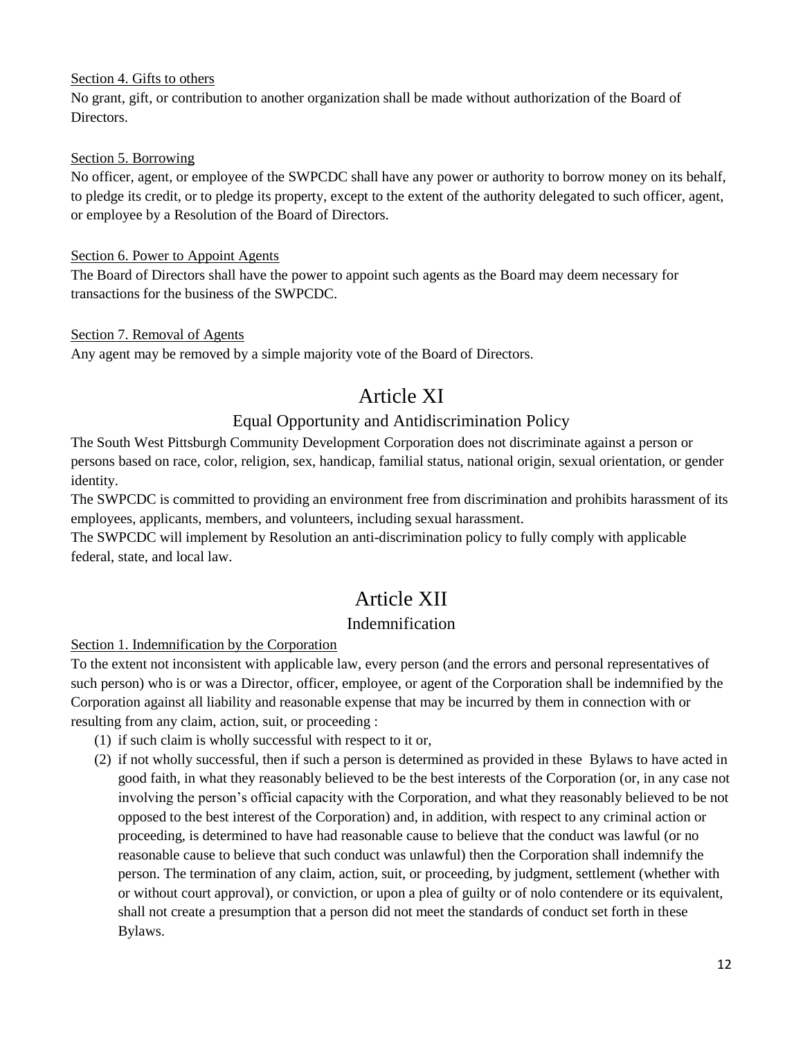# <span id="page-11-0"></span>Section 4. Gifts to others

No grant, gift, or contribution to another organization shall be made without authorization of the Board of Directors.

### <span id="page-11-1"></span>Section 5. Borrowing

No officer, agent, or employee of the SWPCDC shall have any power or authority to borrow money on its behalf, to pledge its credit, or to pledge its property, except to the extent of the authority delegated to such officer, agent, or employee by a Resolution of the Board of Directors.

### <span id="page-11-2"></span>Section 6. Power to Appoint Agents

The Board of Directors shall have the power to appoint such agents as the Board may deem necessary for transactions for the business of the SWPCDC.

#### <span id="page-11-3"></span>Section 7. Removal of Agents

<span id="page-11-4"></span>Any agent may be removed by a simple majority vote of the Board of Directors.

# Article XI

# Equal Opportunity and Antidiscrimination Policy

<span id="page-11-5"></span>The South West Pittsburgh Community Development Corporation does not discriminate against a person or persons based on race, color, religion, sex, handicap, familial status, national origin, sexual orientation, or gender identity.

The SWPCDC is committed to providing an environment free from discrimination and prohibits harassment of its employees, applicants, members, and volunteers, including sexual harassment.

The SWPCDC will implement by Resolution an anti-discrimination policy to fully comply with applicable federal, state, and local law.

# Article XII

# Indemnification

# <span id="page-11-7"></span><span id="page-11-6"></span>Section 1. Indemnification by the Corporation

To the extent not inconsistent with applicable law, every person (and the errors and personal representatives of such person) who is or was a Director, officer, employee, or agent of the Corporation shall be indemnified by the Corporation against all liability and reasonable expense that may be incurred by them in connection with or resulting from any claim, action, suit, or proceeding :

- (1) if such claim is wholly successful with respect to it or,
- (2) if not wholly successful, then if such a person is determined as provided in these Bylaws to have acted in good faith, in what they reasonably believed to be the best interests of the Corporation (or, in any case not involving the person's official capacity with the Corporation, and what they reasonably believed to be not opposed to the best interest of the Corporation) and, in addition, with respect to any criminal action or proceeding, is determined to have had reasonable cause to believe that the conduct was lawful (or no reasonable cause to believe that such conduct was unlawful) then the Corporation shall indemnify the person. The termination of any claim, action, suit, or proceeding, by judgment, settlement (whether with or without court approval), or conviction, or upon a plea of guilty or of nolo contendere or its equivalent, shall not create a presumption that a person did not meet the standards of conduct set forth in these Bylaws.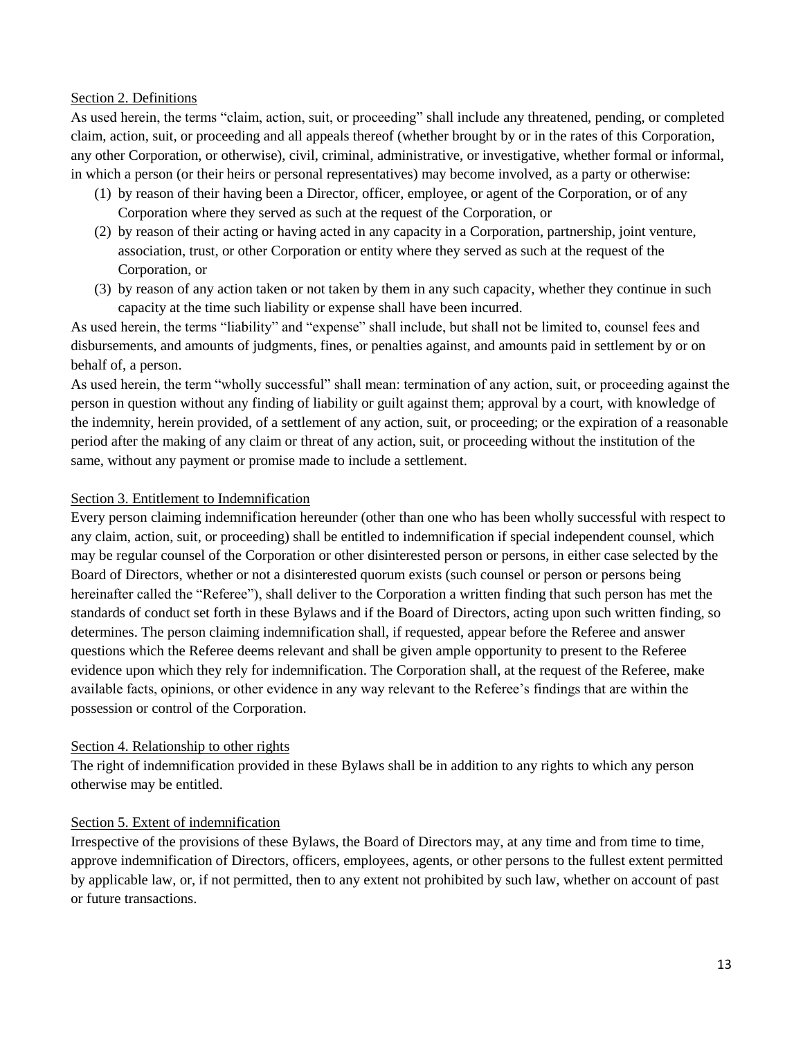#### Section 2. Definitions

As used herein, the terms "claim, action, suit, or proceeding" shall include any threatened, pending, or completed claim, action, suit, or proceeding and all appeals thereof (whether brought by or in the rates of this Corporation, any other Corporation, or otherwise), civil, criminal, administrative, or investigative, whether formal or informal, in which a person (or their heirs or personal representatives) may become involved, as a party or otherwise:

- (1) by reason of their having been a Director, officer, employee, or agent of the Corporation, or of any Corporation where they served as such at the request of the Corporation, or
- (2) by reason of their acting or having acted in any capacity in a Corporation, partnership, joint venture, association, trust, or other Corporation or entity where they served as such at the request of the Corporation, or
- (3) by reason of any action taken or not taken by them in any such capacity, whether they continue in such capacity at the time such liability or expense shall have been incurred.

As used herein, the terms "liability" and "expense" shall include, but shall not be limited to, counsel fees and disbursements, and amounts of judgments, fines, or penalties against, and amounts paid in settlement by or on behalf of, a person.

As used herein, the term "wholly successful" shall mean: termination of any action, suit, or proceeding against the person in question without any finding of liability or guilt against them; approval by a court, with knowledge of the indemnity, herein provided, of a settlement of any action, suit, or proceeding; or the expiration of a reasonable period after the making of any claim or threat of any action, suit, or proceeding without the institution of the same, without any payment or promise made to include a settlement.

#### Section 3. Entitlement to Indemnification

Every person claiming indemnification hereunder (other than one who has been wholly successful with respect to any claim, action, suit, or proceeding) shall be entitled to indemnification if special independent counsel, which may be regular counsel of the Corporation or other disinterested person or persons, in either case selected by the Board of Directors, whether or not a disinterested quorum exists (such counsel or person or persons being hereinafter called the "Referee"), shall deliver to the Corporation a written finding that such person has met the standards of conduct set forth in these Bylaws and if the Board of Directors, acting upon such written finding, so determines. The person claiming indemnification shall, if requested, appear before the Referee and answer questions which the Referee deems relevant and shall be given ample opportunity to present to the Referee evidence upon which they rely for indemnification. The Corporation shall, at the request of the Referee, make available facts, opinions, or other evidence in any way relevant to the Referee's findings that are within the possession or control of the Corporation.

# Section 4. Relationship to other rights

The right of indemnification provided in these Bylaws shall be in addition to any rights to which any person otherwise may be entitled.

#### Section 5. Extent of indemnification

Irrespective of the provisions of these Bylaws, the Board of Directors may, at any time and from time to time, approve indemnification of Directors, officers, employees, agents, or other persons to the fullest extent permitted by applicable law, or, if not permitted, then to any extent not prohibited by such law, whether on account of past or future transactions.